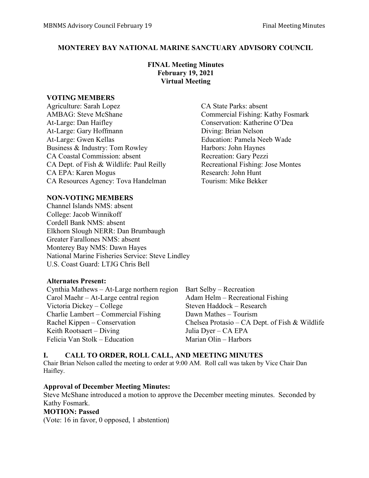# **MONTEREY BAY NATIONAL MARINE SANCTUARY ADVISORY COUNCIL**

# **FINAL Meeting Minutes February 19, 2021 Virtual Meeting**

#### **VOTING MEMBERS**

Agriculture: Sarah Lopez CA State Parks: absent AMBAG: Steve McShane Commercial Fishing: Kathy Fosmark At-Large: Dan Haifley Conservation: Katherine O'Dea At-Large: Gary Hoffmann Diving: Brian Nelson At-Large: Gwen Kellas Education: Pamela Neeb Wade Business & Industry: Tom Rowley Harbors: John Haynes CA Coastal Commission: absent Recreation: Gary Pezzi CA Dept. of Fish & Wildlife: Paul Reilly Recreational Fishing: Jose Montes CA EPA: Karen Mogus Research: John Hunt CA Resources Agency: Tova Handelman Tourism: Mike Bekker

# **NON-VOTING MEMBERS**

Channel Islands NMS: absent College: Jacob Winnikoff Cordell Bank NMS: absent Elkhorn Slough NERR: Dan Brumbaugh Greater Farallones NMS: absent Monterey Bay NMS: Dawn Hayes National Marine Fisheries Service: Steve Lindley U.S. Coast Guard: LTJG Chris Bell

# **Alternates Present:**

Cynthia Mathews – At-Large northern region Bart Selby – Recreation Carol Maehr – At-Large central region Adam Helm – Recreational Fishing<br>Victoria Dickey – College Steven Haddock – Research Victoria Dickey – College Charlie Lambert – Commercial Fishing Dawn Mathes – Tourism Keith Rootsaert – Diving Julia Dyer – CA EPA Felicia Van Stolk – Education Marian Olin – Harbors

Rachel Kippen – Conservation Chelsea Protasio – CA Dept. of Fish & Wildlife

# **I. CALL TO ORDER, ROLL CALL, AND MEETING MINUTES**

Chair Brian Nelson called the meeting to order at 9:00 AM. Roll call was taken by Vice Chair Dan Haifley.

# **Approval of December Meeting Minutes:**

Steve McShane introduced a motion to approve the December meeting minutes. Seconded by Kathy Fosmark.

#### **MOTION: Passed**

(Vote: 16 in favor, 0 opposed, 1 abstention)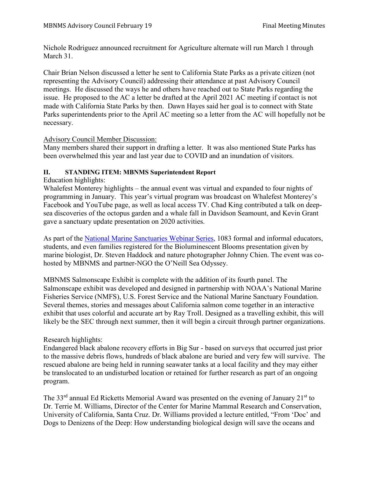Nichole Rodriguez announced recruitment for Agriculture alternate will run March 1 through March 31.

Chair Brian Nelson discussed a letter he sent to California State Parks as a private citizen (not representing the Advisory Council) addressing their attendance at past Advisory Council meetings. He discussed the ways he and others have reached out to State Parks regarding the issue. He proposed to the AC a letter be drafted at the April 2021 AC meeting if contact is not made with California State Parks by then. Dawn Hayes said her goal is to connect with State Parks superintendents prior to the April AC meeting so a letter from the AC will hopefully not be necessary.

# Advisory Council Member Discussion:

Many members shared their support in drafting a letter. It was also mentioned State Parks has been overwhelmed this year and last year due to COVID and an inundation of visitors.

#### **II. STANDING ITEM: MBNMS Superintendent Report**

Education highlights:

Whalefest Monterey highlights – the annual event was virtual and expanded to four nights of programming in January. This year's virtual program was broadcast on Whalefest Monterey's Facebook and YouTube page, as well as local access TV. Chad King contributed a talk on deepsea discoveries of the octopus garden and a whale fall in Davidson Seamount, and Kevin Grant gave a sanctuary update presentation on 2020 activities.

As part of the [National Marine Sanctuaries Webinar Series,](https://sanctuaries.noaa.gov/education/teachers/webinar-series.html) 1083 formal and informal educators, students, and even families registered for the Bioluminescent Blooms presentation given by marine biologist, Dr. Steven Haddock and nature photographer Johnny Chien. The event was cohosted by MBNMS and partner-NGO the O'Neill Sea Odyssey.

MBNMS Salmonscape Exhibit is complete with the addition of its fourth panel. The Salmonscape exhibit was developed and designed in partnership with NOAA's National Marine Fisheries Service (NMFS), U.S. Forest Service and the National Marine Sanctuary Foundation. Several themes, stories and messages about California salmon come together in an interactive exhibit that uses colorful and accurate art by Ray Troll. Designed as a travelling exhibit, this will likely be the SEC through next summer, then it will begin a circuit through partner organizations.

# Research highlights:

Endangered black abalone recovery efforts in Big Sur - based on surveys that occurred just prior to the massive debris flows, hundreds of black abalone are buried and very few will survive. The rescued abalone are being held in running seawater tanks at a local facility and they may either be translocated to an undisturbed location or retained for further research as part of an ongoing program.

The  $33<sup>rd</sup>$  annual Ed Ricketts Memorial Award was presented on the evening of January  $21<sup>st</sup>$  to Dr. Terrie M. Williams, Director of the Center for Marine Mammal Research and Conservation, University of California, Santa Cruz. Dr. Williams provided a lecture entitled, "From 'Doc' and Dogs to Denizens of the Deep: How understanding biological design will save the oceans and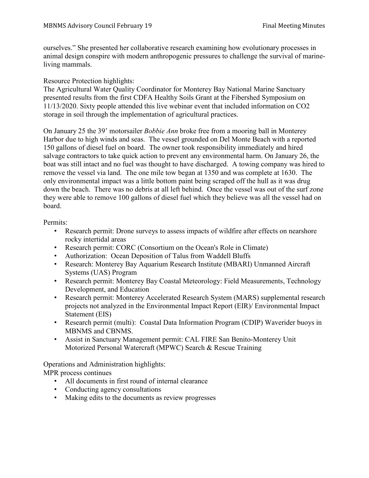ourselves." She presented her collaborative research examining how evolutionary processes in animal design conspire with modern anthropogenic pressures to challenge the survival of marineliving mammals.

Resource Protection highlights:

The Agricultural Water Quality Coordinator for Monterey Bay National Marine Sanctuary presented results from the first CDFA Healthy Soils Grant at the Fibershed Symposium on 11/13/2020. Sixty people attended this live webinar event that included information on CO2 storage in soil through the implementation of agricultural practices.

On January 25 the 39' motorsailer *Bobbie Ann* broke free from a mooring ball in Monterey Harbor due to high winds and seas. The vessel grounded on Del Monte Beach with a reported 150 gallons of diesel fuel on board. The owner took responsibility immediately and hired salvage contractors to take quick action to prevent any environmental harm. On January 26, the boat was still intact and no fuel was thought to have discharged. A towing company was hired to remove the vessel via land. The one mile tow began at 1350 and was complete at 1630. The only environmental impact was a little bottom paint being scraped off the hull as it was drug down the beach. There was no debris at all left behind. Once the vessel was out of the surf zone they were able to remove 100 gallons of diesel fuel which they believe was all the vessel had on board.

Permits:

- Research permit: Drone surveys to assess impacts of wildfire after effects on nearshore rocky intertidal areas
- Research permit: CORC (Consortium on the Ocean's Role in Climate)
- Authorization: Ocean Deposition of Talus from Waddell Bluffs
- Research: Monterey Bay Aquarium Research Institute (MBARI) Unmanned Aircraft Systems (UAS) Program
- Research permit: Monterey Bay Coastal Meteorology: Field Measurements, Technology Development, and Education
- Research permit: Monterey Accelerated Research System (MARS) supplemental research projects not analyzed in the Environmental Impact Report (EIR)/ Environmental Impact Statement (EIS)
- Research permit (multi): Coastal Data Information Program (CDIP) Waverider buoys in MBNMS and CBNMS.
- Assist in Sanctuary Management permit: CAL FIRE San Benito-Monterey Unit Motorized Personal Watercraft (MPWC) Search & Rescue Training

Operations and Administration highlights:

MPR process continues

- All documents in first round of internal clearance
- Conducting agency consultations
- Making edits to the documents as review progresses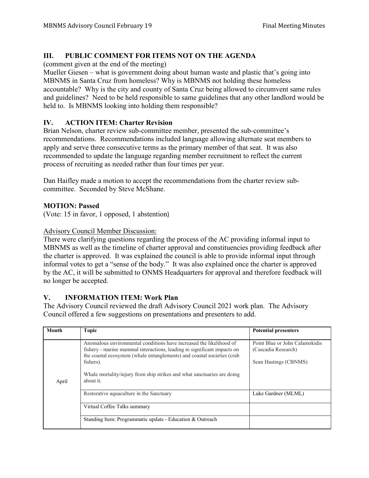# **III. PUBLIC COMMENT FOR ITEMS NOT ON THE AGENDA**

(comment given at the end of the meeting)

Mueller Giesen – what is government doing about human waste and plastic that's going into MBNMS in Santa Cruz from homeless? Why is MBNMS not holding these homeless accountable? Why is the city and county of Santa Cruz being allowed to circumvent same rules and guidelines? Need to be held responsible to same guidelines that any other landlord would be held to. Is MBNMS looking into holding them responsible?

# **IV. ACTION ITEM: Charter Revision**

Brian Nelson, charter review sub-committee member, presented the sub-committee's recommendations. Recommendations included language allowing alternate seat members to apply and serve three consecutive terms as the primary member of that seat. It was also recommended to update the language regarding member recruitment to reflect the current process of recruiting as needed rather than four times per year.

Dan Haifley made a motion to accept the recommendations from the charter review subcommittee. Seconded by Steve McShane.

# **MOTION: Passed**

(Vote: 15 in favor, 1 opposed, 1 abstention)

# Advisory Council Member Discussion:

There were clarifying questions regarding the process of the AC providing informal input to MBNMS as well as the timeline of charter approval and constituencies providing feedback after the charter is approved. It was explained the council is able to provide informal input through informal votes to get a "sense of the body." It was also explained once the charter is approved by the AC, it will be submitted to ONMS Headquarters for approval and therefore feedback will no longer be accepted.

# **V. INFORMATION ITEM: Work Plan**

The Advisory Council reviewed the draft Advisory Council 2021 work plan. The Advisory Council offered a few suggestions on presentations and presenters to add.

| Month | <b>Topic</b>                                                                                                                                                                                                                                                                                                                   | <b>Potential presenters</b>                                                    |
|-------|--------------------------------------------------------------------------------------------------------------------------------------------------------------------------------------------------------------------------------------------------------------------------------------------------------------------------------|--------------------------------------------------------------------------------|
| April | Anomalous environmental conditions have increased the likelihood of<br>fishery - marine mammal interactions, leading to significant impacts on<br>the coastal ecosystem (whale entanglements) and coastal societies (crab<br>fishers).<br>Whale mortality/injury from ship strikes and what sanctuaries are doing<br>about it. | Point Blue or John Calamokidis<br>(Cascadia Research)<br>Sean Hastings (CBNMS) |
|       | Restorative aquaculture in the Sanctuary                                                                                                                                                                                                                                                                                       | Luke Gardner (MLML)                                                            |
|       | Virtual Coffee Talks summary                                                                                                                                                                                                                                                                                                   |                                                                                |
|       | Standing Item: Programmatic update - Education & Outreach                                                                                                                                                                                                                                                                      |                                                                                |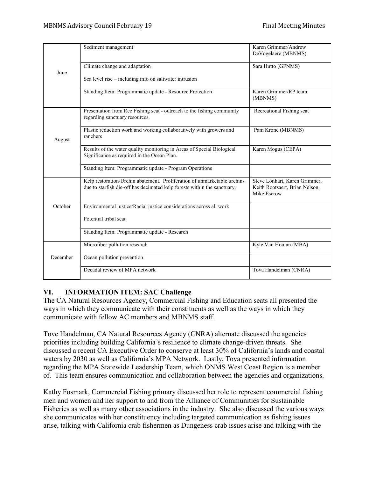|          | Sediment management                                                      | Karen Grimmer/Andrew           |
|----------|--------------------------------------------------------------------------|--------------------------------|
|          |                                                                          | DeVogelaere (MBNMS)            |
|          |                                                                          |                                |
|          | Climate change and adaptation                                            | Sara Hutto (GFNMS)             |
| June     |                                                                          |                                |
|          | Sea level rise - including info on saltwater intrusion                   |                                |
|          |                                                                          | Karen Grimmer/RP team          |
|          | Standing Item: Programmatic update - Resource Protection                 | (MBNMS)                        |
|          |                                                                          |                                |
|          | Presentation from Rec Fishing seat - outreach to the fishing community   | Recreational Fishing seat      |
|          | regarding sanctuary resources.                                           |                                |
|          | Plastic reduction work and working collaboratively with growers and      | Pam Krone (MBNMS)              |
|          | ranchers                                                                 |                                |
| August   |                                                                          |                                |
|          | Results of the water quality monitoring in Areas of Special Biological   | Karen Mogus (CEPA)             |
|          | Significance as required in the Ocean Plan.                              |                                |
|          | Standing Item: Programmatic update - Program Operations                  |                                |
|          |                                                                          |                                |
|          | Kelp restoration/Urchin abatement. Proliferation of unmarketable urchins | Steve Lonhart, Karen Grimmer,  |
| October  | due to starfish die-off has decimated kelp forests within the sanctuary. | Keith Rootsaert, Brian Nelson, |
|          |                                                                          | Mike Escrow                    |
|          | Environmental justice/Racial justice considerations across all work      |                                |
|          |                                                                          |                                |
|          | Potential tribal seat                                                    |                                |
|          |                                                                          |                                |
|          | Standing Item: Programmatic update - Research                            |                                |
| December | Microfiber pollution research                                            | Kyle Van Houtan (MBA)          |
|          |                                                                          |                                |
|          | Ocean pollution prevention                                               |                                |
|          | Decadal review of MPA network                                            | Tova Handelman (CNRA)          |
|          |                                                                          |                                |

# **VI. INFORMATION ITEM: SAC Challenge**

The CA Natural Resources Agency, Commercial Fishing and Education seats all presented the ways in which they communicate with their constituents as well as the ways in which they communicate with fellow AC members and MBNMS staff.

Tove Handelman, CA Natural Resources Agency (CNRA) alternate discussed the agencies priorities including building California's resilience to climate change-driven threats. She discussed a recent CA Executive Order to conserve at least 30% of California's lands and coastal waters by 2030 as well as California's MPA Network. Lastly, Tova presented information regarding the MPA Statewide Leadership Team, which ONMS West Coast Region is a member of. This team ensures communication and collaboration between the agencies and organizations.

Kathy Fosmark, Commercial Fishing primary discussed her role to represent commercial fishing men and women and her support to and from the Alliance of Communities for Sustainable Fisheries as well as many other associations in the industry. She also discussed the various ways she communicates with her constituency including targeted communication as fishing issues arise, talking with California crab fishermen as Dungeness crab issues arise and talking with the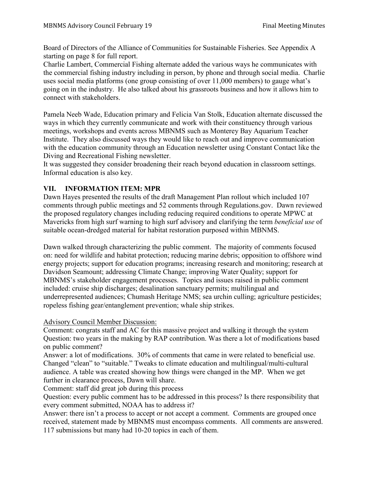Board of Directors of the Alliance of Communities for Sustainable Fisheries. See Appendix A starting on page 8 for full report.

Charlie Lambert, Commercial Fishing alternate added the various ways he communicates with the commercial fishing industry including in person, by phone and through social media. Charlie uses social media platforms (one group consisting of over 11,000 members) to gauge what's going on in the industry. He also talked about his grassroots business and how it allows him to connect with stakeholders.

Pamela Neeb Wade, Education primary and Felicia Van Stolk, Education alternate discussed the ways in which they currently communicate and work with their constituency through various meetings, workshops and events across MBNMS such as Monterey Bay Aquarium Teacher Institute. They also discussed ways they would like to reach out and improve communication with the education community through an Education newsletter using Constant Contact like the Diving and Recreational Fishing newsletter.

It was suggested they consider broadening their reach beyond education in classroom settings. Informal education is also key.

# **VII. INFORMATION ITEM: MPR**

Dawn Hayes presented the results of the draft Management Plan rollout which included 107 comments through public meetings and 52 comments through Regulations.gov. Dawn reviewed the proposed regulatory changes including reducing required conditions to operate MPWC at Mavericks from high surf warning to high surf advisory and clarifying the term *beneficial use* of suitable ocean-dredged material for habitat restoration purposed within MBNMS.

Dawn walked through characterizing the public comment. The majority of comments focused on: need for wildlife and habitat protection; reducing marine debris; opposition to offshore wind energy projects; support for education programs; increasing research and monitoring; research at Davidson Seamount; addressing Climate Change; improving Water Quality; support for MBNMS's stakeholder engagement processes. Topics and issues raised in public comment included: cruise ship discharges; desalination sanctuary permits; multilingual and underrepresented audiences; Chumash Heritage NMS; sea urchin culling; agriculture pesticides; ropeless fishing gear/entanglement prevention; whale ship strikes.

# Advisory Council Member Discussion:

Comment: congrats staff and AC for this massive project and walking it through the system Question: two years in the making by RAP contribution. Was there a lot of modifications based on public comment?

Answer: a lot of modifications. 30% of comments that came in were related to beneficial use. Changed "clean" to "suitable." Tweaks to climate education and multilingual/multi-cultural audience. A table was created showing how things were changed in the MP. When we get further in clearance process, Dawn will share.

Comment: staff did great job during this process

Question: every public comment has to be addressed in this process? Is there responsibility that every comment submitted, NOAA has to address it?

Answer: there isn't a process to accept or not accept a comment. Comments are grouped once received, statement made by MBNMS must encompass comments. All comments are answered. 117 submissions but many had 10-20 topics in each of them.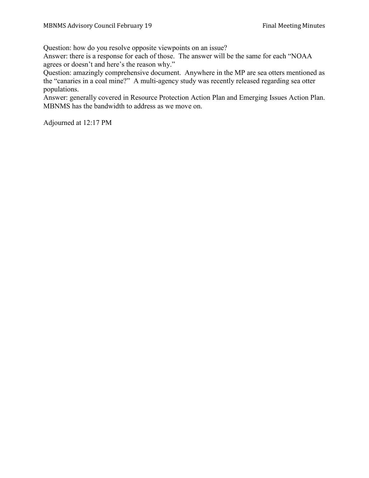Question: how do you resolve opposite viewpoints on an issue?

Answer: there is a response for each of those. The answer will be the same for each "NOAA agrees or doesn't and here's the reason why."

Question: amazingly comprehensive document. Anywhere in the MP are sea otters mentioned as the "canaries in a coal mine?" A multi-agency study was recently released regarding sea otter populations.

Answer: generally covered in Resource Protection Action Plan and Emerging Issues Action Plan. MBNMS has the bandwidth to address as we move on.

Adjourned at 12:17 PM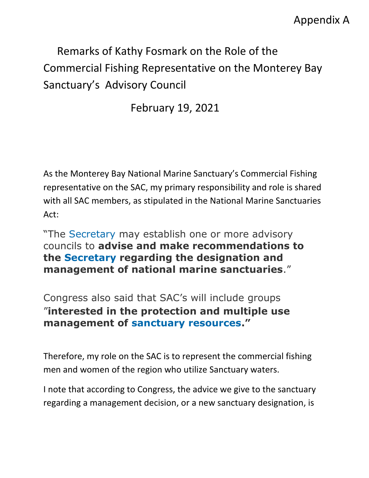# Appendix A

# Remarks of Kathy Fosmark on the Role of the Commercial Fishing Representative on the Monterey Bay Sanctuary's Advisory Council

February 19, 2021

As the Monterey Bay National Marine Sanctuary's Commercial Fishing representative on the SAC, my primary responsibility and role is shared with all SAC members, as stipulated in the National Marine Sanctuaries Act:

"The [Secretary](https://www.law.cornell.edu/definitions/uscode.php?width=840&height=800&iframe=true&def_id=16-USC-1264422296-1050599313&term_occur=999&term_src=title:16:chapter:32:section:1445a) may establish one or more advisory councils to **advise and make recommendations to the [Secretary](https://www.law.cornell.edu/definitions/uscode.php?width=840&height=800&iframe=true&def_id=16-USC-1264422296-1050599313&term_occur=999&term_src=title:16:chapter:32:section:1445a) regarding the designation and management of national marine sanctuaries**."

Congress also said that SAC's will include groups "**interested in the protection and multiple use management of [sanctuary resources.](https://www.law.cornell.edu/definitions/uscode.php?width=840&height=800&iframe=true&def_id=16-USC-132502282-1050599309&term_occur=999&term_src=title:16:chapter:32:section:1445a)"**

Therefore, my role on the SAC is to represent the commercial fishing men and women of the region who utilize Sanctuary waters.

I note that according to Congress, the advice we give to the sanctuary regarding a management decision, or a new sanctuary designation, is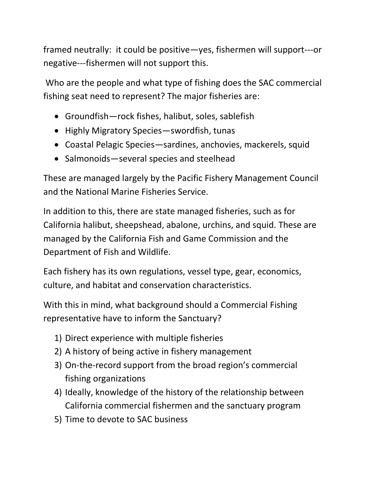framed neutrally: it could be positive—yes, fishermen will support---or negative---fishermen will not support this.

Who are the people and what type of fishing does the SAC commercial fishing seat need to represent? The major fisheries are:

- Groundfish—rock fishes, halibut, soles, sablefish
- Highly Migratory Species—swordfish, tunas
- Coastal Pelagic Species—sardines, anchovies, mackerels, squid
- Salmonoids—several species and steelhead

These are managed largely by the Pacific Fishery Management Council and the National Marine Fisheries Service.

In addition to this, there are state managed fisheries, such as for California halibut, sheepshead, abalone, urchins, and squid. These are managed by the California Fish and Game Commission and the Department of Fish and Wildlife.

Each fishery has its own regulations, vessel type, gear, economics, culture, and habitat and conservation characteristics.

With this in mind, what background should a Commercial Fishing representative have to inform the Sanctuary?

- 1) Direct experience with multiple fisheries
- 2) A history of being active in fishery management
- 3) On-the-record support from the broad region's commercial fishing organizations
- 4) Ideally, knowledge of the history of the relationship between California commercial fishermen and the sanctuary program
- 5) Time to devote to SAC business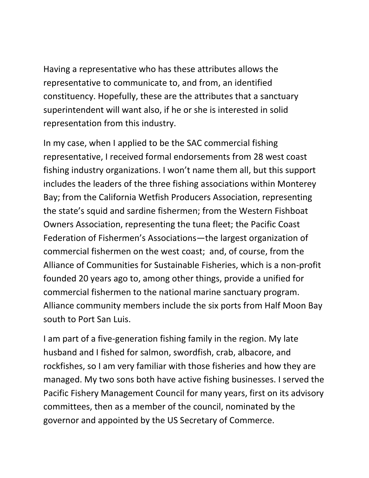Having a representative who has these attributes allows the representative to communicate to, and from, an identified constituency. Hopefully, these are the attributes that a sanctuary superintendent will want also, if he or she is interested in solid representation from this industry.

In my case, when I applied to be the SAC commercial fishing representative, I received formal endorsements from 28 west coast fishing industry organizations. I won't name them all, but this support includes the leaders of the three fishing associations within Monterey Bay; from the California Wetfish Producers Association, representing the state's squid and sardine fishermen; from the Western Fishboat Owners Association, representing the tuna fleet; the Pacific Coast Federation of Fishermen's Associations—the largest organization of commercial fishermen on the west coast; and, of course, from the Alliance of Communities for Sustainable Fisheries, which is a non-profit founded 20 years ago to, among other things, provide a unified for commercial fishermen to the national marine sanctuary program. Alliance community members include the six ports from Half Moon Bay south to Port San Luis.

I am part of a five-generation fishing family in the region. My late husband and I fished for salmon, swordfish, crab, albacore, and rockfishes, so I am very familiar with those fisheries and how they are managed. My two sons both have active fishing businesses. I served the Pacific Fishery Management Council for many years, first on its advisory committees, then as a member of the council, nominated by the governor and appointed by the US Secretary of Commerce.